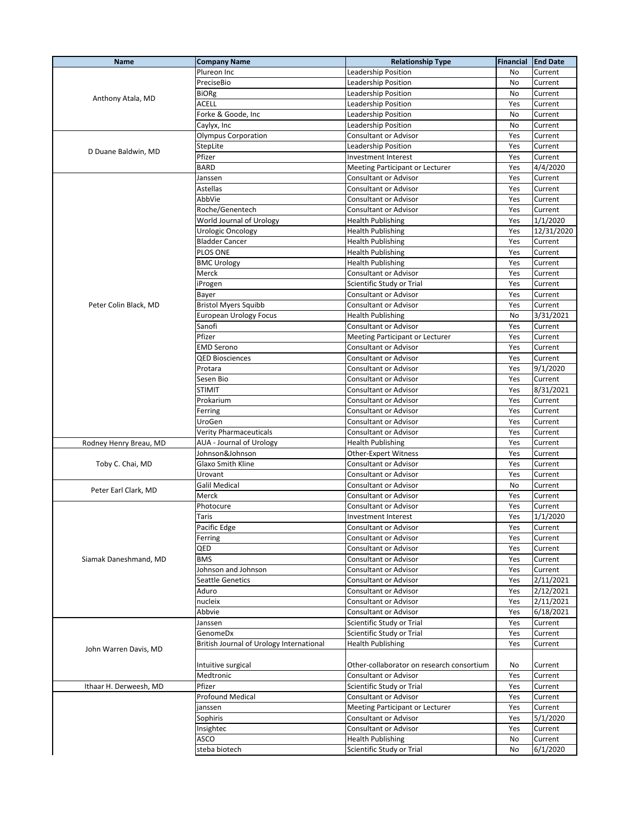| <b>Name</b>            | <b>Company Name</b>                      | <b>Relationship Type</b>                  | Financial | <b>End Date</b> |
|------------------------|------------------------------------------|-------------------------------------------|-----------|-----------------|
| Anthony Atala, MD      | Plureon Inc                              | Leadership Position                       | No        | Current         |
|                        | PreciseBio                               | <b>Leadership Position</b>                | No        | Current         |
|                        | BiORg                                    | Leadership Position                       | No.       | Current         |
|                        | ACELL                                    | Leadership Position                       | Yes       | Current         |
|                        | Forke & Goode, Inc                       | Leadership Position                       | No        | Current         |
|                        |                                          |                                           |           |                 |
|                        | Caylyx, Inc                              | Leadership Position                       | No        | Current         |
|                        | <b>Olympus Corporation</b>               | Consultant or Advisor                     | Yes       | Current         |
| D Duane Baldwin, MD    | StepLite                                 | Leadership Position                       | Yes       | Current         |
|                        | Pfizer                                   | Investment Interest                       | Yes       | Current         |
|                        | <b>BARD</b>                              | Meeting Participant or Lecturer           | Yes       | 4/4/2020        |
|                        | Janssen                                  | Consultant or Advisor                     | Yes       | Current         |
|                        | Astellas                                 | Consultant or Advisor                     | Yes       | Current         |
|                        | AbbVie                                   | <b>Consultant or Advisor</b>              | Yes       | Current         |
|                        | Roche/Genentech                          | Consultant or Advisor                     | Yes       | Current         |
|                        | World Journal of Urology                 | <b>Health Publishing</b>                  | Yes       | 1/1/2020        |
|                        | Urologic Oncology                        | <b>Health Publishing</b>                  | Yes       | 12/31/2020      |
|                        | <b>Bladder Cancer</b>                    | <b>Health Publishing</b>                  | Yes       | Current         |
|                        |                                          |                                           |           |                 |
|                        | PLOS ONE                                 | <b>Health Publishing</b>                  | Yes       | Current         |
|                        | <b>BMC Urology</b>                       | <b>Health Publishing</b>                  | Yes       | Current         |
|                        | Merck                                    | Consultant or Advisor                     | Yes       | Current         |
|                        | iProgen                                  | Scientific Study or Trial                 | Yes       | Current         |
|                        | Bayer                                    | <b>Consultant or Advisor</b>              | Yes       | Current         |
| Peter Colin Black, MD  | <b>Bristol Myers Squibb</b>              | Consultant or Advisor                     | Yes       | Current         |
|                        | European Urology Focus                   | <b>Health Publishing</b>                  | No        | 3/31/2021       |
|                        | Sanofi                                   | <b>Consultant or Advisor</b>              | Yes       | Current         |
|                        | Pfizer                                   | Meeting Participant or Lecturer           | Yes       | Current         |
|                        | EMD Serono                               | Consultant or Advisor                     | Yes       | Current         |
|                        | <b>QED Biosciences</b>                   | Consultant or Advisor                     | Yes       | Current         |
|                        |                                          |                                           |           |                 |
|                        | Protara                                  | <b>Consultant or Advisor</b>              | Yes       | 9/1/2020        |
|                        | Sesen Bio                                | Consultant or Advisor                     | Yes       | Current         |
|                        | <b>STIMIT</b>                            | Consultant or Advisor                     | Yes       | 8/31/2021       |
|                        | Prokarium                                | Consultant or Advisor                     | Yes       | Current         |
|                        | Ferring                                  | Consultant or Advisor                     | Yes       | Current         |
|                        | UroGen                                   | <b>Consultant or Advisor</b>              | Yes       | Current         |
|                        | Verity Pharmaceuticals                   | <b>Consultant or Advisor</b>              | Yes       | Current         |
| Rodney Henry Breau, MD | <b>AUA - Journal of Urology</b>          | <b>Health Publishing</b>                  | Yes       | Current         |
|                        | Johnson&Johnson                          | <b>Other-Expert Witness</b>               | Yes       | Current         |
| Toby C. Chai, MD       | Glaxo Smith Kline                        | Consultant or Advisor                     | Yes       | Current         |
|                        | Urovant                                  | Consultant or Advisor                     | Yes       | Current         |
|                        | Galil Medical                            | Consultant or Advisor                     | No        | Current         |
| Peter Earl Clark, MD   | Merck                                    | Consultant or Advisor                     | Yes       |                 |
|                        |                                          |                                           |           | Current         |
|                        | Photocure                                | <b>Consultant or Advisor</b>              | Yes       | Current         |
|                        | Taris                                    | Investment Interest                       | Yes       | 1/1/2020        |
|                        | Pacific Edge                             | Consultant or Advisor                     | Yes       | Current         |
|                        | Ferring                                  | <b>Consultant or Advisor</b>              | Yes       | Current         |
|                        | QED                                      | Consultant or Advisor                     | Yes       | Current         |
| Siamak Daneshmand, MD  | BMS                                      | <b>Consultant or Advisor</b>              | Yes       | Current         |
|                        | Johnson and Johnson                      | <b>Consultant or Advisor</b>              | Yes       | Current         |
|                        | Seattle Genetics                         | Consultant or Advisor                     | Yes       | 2/11/2021       |
|                        | Aduro                                    | <b>Consultant or Advisor</b>              | Yes       | 2/12/2021       |
|                        | nucleix                                  | <b>Consultant or Advisor</b>              | Yes       | 2/11/2021       |
|                        | Abbvie                                   | <b>Consultant or Advisor</b>              |           | 6/18/2021       |
|                        |                                          |                                           | Yes       |                 |
|                        | Janssen                                  | Scientific Study or Trial                 | Yes       | Current         |
|                        | GenomeDx                                 | Scientific Study or Trial                 | Yes       | Current         |
| John Warren Davis, MD  | British Journal of Urology International | <b>Health Publishing</b>                  | Yes       | Current         |
|                        |                                          |                                           |           |                 |
|                        | Intuitive surgical                       | Other-collaborator on research consortium | No        | Current         |
|                        | Medtronic                                | Consultant or Advisor                     | Yes       | Current         |
| Ithaar H. Derweesh, MD | Pfizer                                   | Scientific Study or Trial                 | Yes       | Current         |
|                        | <b>Profound Medical</b>                  | Consultant or Advisor                     | Yes       | Current         |
|                        | janssen                                  | Meeting Participant or Lecturer           | Yes       | Current         |
|                        | Sophiris                                 | <b>Consultant or Advisor</b>              | Yes       | 5/1/2020        |
|                        |                                          | Consultant or Advisor                     |           |                 |
|                        | Insightec                                |                                           | Yes       | Current         |
|                        | ASCO                                     | <b>Health Publishing</b>                  | No        | Current         |
|                        | steba biotech                            | Scientific Study or Trial                 | No        | 6/1/2020        |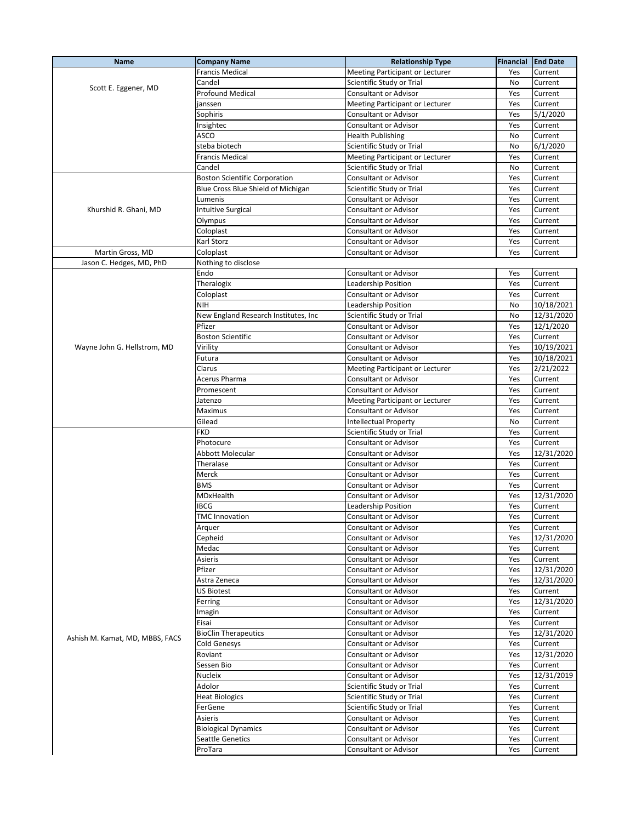| Name                            | <b>Company Name</b>                  | <b>Relationship Type</b>        | Financial | <b>End Date</b> |
|---------------------------------|--------------------------------------|---------------------------------|-----------|-----------------|
|                                 | Francis Medical                      | Meeting Participant or Lecturer | Yes       | Current         |
| Scott E. Eggener, MD            | Candel                               | Scientific Study or Trial       | No        | Current         |
|                                 | <b>Profound Medical</b>              | Consultant or Advisor           | Yes       | Current         |
|                                 | janssen                              | Meeting Participant or Lecturer | Yes       | Current         |
|                                 | Sophiris                             | Consultant or Advisor           | Yes       | 5/1/2020        |
|                                 | Insightec                            | Consultant or Advisor           | Yes       | Current         |
|                                 | ASCO                                 | <b>Health Publishing</b>        | No        | Current         |
|                                 | steba biotech                        |                                 |           | 6/1/2020        |
|                                 |                                      | Scientific Study or Trial       | No        |                 |
|                                 | Francis Medical                      | Meeting Participant or Lecturer | Yes       | Current         |
|                                 | Candel                               | Scientific Study or Trial       | No        | Current         |
|                                 | <b>Boston Scientific Corporation</b> | <b>Consultant or Advisor</b>    | Yes       | Current         |
|                                 | Blue Cross Blue Shield of Michigan   | Scientific Study or Trial       | Yes       | Current         |
|                                 | Lumenis                              | Consultant or Advisor           | Yes       | Current         |
| Khurshid R. Ghani, MD           | <b>Intuitive Surgical</b>            | <b>Consultant or Advisor</b>    | Yes       | Current         |
|                                 | Olympus                              | Consultant or Advisor           | Yes       | Current         |
|                                 | Coloplast                            | Consultant or Advisor           | Yes       | Current         |
|                                 | Karl Storz                           | Consultant or Advisor           | Yes       | Current         |
| Martin Gross, MD                | Coloplast                            | Consultant or Advisor           | Yes       | Current         |
| Jason C. Hedges, MD, PhD        | Nothing to disclose                  |                                 |           |                 |
|                                 | Endo                                 | Consultant or Advisor           | Yes       | Current         |
|                                 | Theralogix                           | Leadership Position             | Yes       | Current         |
|                                 | Coloplast                            | Consultant or Advisor           | Yes       | Current         |
|                                 | <b>NIH</b>                           | Leadership Position             | No        | 10/18/2021      |
|                                 | New England Research Institutes, Inc | Scientific Study or Trial       | No        | 12/31/2020      |
|                                 | Pfizer                               | <b>Consultant or Advisor</b>    | Yes       | 12/1/2020       |
|                                 |                                      |                                 |           |                 |
|                                 | <b>Boston Scientific</b>             | <b>Consultant or Advisor</b>    | Yes       | Current         |
| Wayne John G. Hellstrom, MD     | Virility                             | Consultant or Advisor           | Yes       | 10/19/2021      |
|                                 | Futura                               | Consultant or Advisor           | Yes       | 10/18/2021      |
|                                 | Clarus                               | Meeting Participant or Lecturer | Yes       | 2/21/2022       |
|                                 | Acerus Pharma                        | Consultant or Advisor           | Yes       | Current         |
|                                 | Promescent                           | Consultant or Advisor           | Yes       | Current         |
|                                 | Jatenzo                              | Meeting Participant or Lecturer | Yes       | Current         |
|                                 | Maximus                              | Consultant or Advisor           | Yes       | Current         |
|                                 | Gilead                               | <b>Intellectual Property</b>    | No        | Current         |
|                                 | <b>FKD</b>                           | Scientific Study or Trial       | Yes       | Current         |
|                                 | Photocure                            | <b>Consultant or Advisor</b>    | Yes       | Current         |
|                                 | Abbott Molecular                     | <b>Consultant or Advisor</b>    | Yes       | 12/31/2020      |
|                                 | Theralase                            | <b>Consultant or Advisor</b>    | Yes       | Current         |
|                                 | Merck                                | Consultant or Advisor           | Yes       | Current         |
|                                 | <b>BMS</b>                           | Consultant or Advisor           | Yes       | Current         |
|                                 | MDxHealth                            | Consultant or Advisor           | Yes       | 12/31/2020      |
|                                 | IBCG                                 |                                 | Yes       | Current         |
|                                 |                                      | Leadership Position             |           |                 |
|                                 | <b>TMC Innovation</b>                | Consultant or Advisor           | Yes       | Current         |
|                                 | Arquer                               | Consultant or Advisor           | Yes       | Current         |
|                                 | Cepheid                              | Consultant or Advisor           | Yes       | 12/31/2020      |
|                                 | Medac                                | Consultant or Advisor           | Yes       | Current         |
|                                 | Asieris                              | <b>Consultant or Advisor</b>    | Yes       | Current         |
|                                 | Pfizer                               | Consultant or Advisor           | Yes       | 12/31/2020      |
|                                 | Astra Zeneca                         | Consultant or Advisor           | Yes       | 12/31/2020      |
|                                 | US Biotest                           | Consultant or Advisor           | Yes       | Current         |
|                                 | Ferring                              | Consultant or Advisor           | Yes       | 12/31/2020      |
|                                 | Imagin                               | Consultant or Advisor           | Yes       | Current         |
|                                 | Eisai                                | Consultant or Advisor           | Yes       | Current         |
|                                 | <b>BioClin Therapeutics</b>          | Consultant or Advisor           | Yes       | 12/31/2020      |
| Ashish M. Kamat, MD, MBBS, FACS | <b>Cold Genesys</b>                  | Consultant or Advisor           | Yes       | Current         |
|                                 | Roviant                              | Consultant or Advisor           | Yes       | 12/31/2020      |
|                                 | Sessen Bio                           | Consultant or Advisor           | Yes       | Current         |
|                                 |                                      |                                 |           | 12/31/2019      |
|                                 | Nucleix                              | <b>Consultant or Advisor</b>    | Yes       |                 |
|                                 | Adolor                               | Scientific Study or Trial       | Yes       | Current         |
|                                 | <b>Heat Biologics</b>                | Scientific Study or Trial       | Yes       | Current         |
|                                 | FerGene                              | Scientific Study or Trial       | Yes       | Current         |
|                                 | Asieris                              | Consultant or Advisor           | Yes       | Current         |
|                                 | <b>Biological Dynamics</b>           | Consultant or Advisor           | Yes       | Current         |
|                                 | Seattle Genetics                     | Consultant or Advisor           | Yes       | Current         |
|                                 | ProTara                              | Consultant or Advisor           | Yes       | Current         |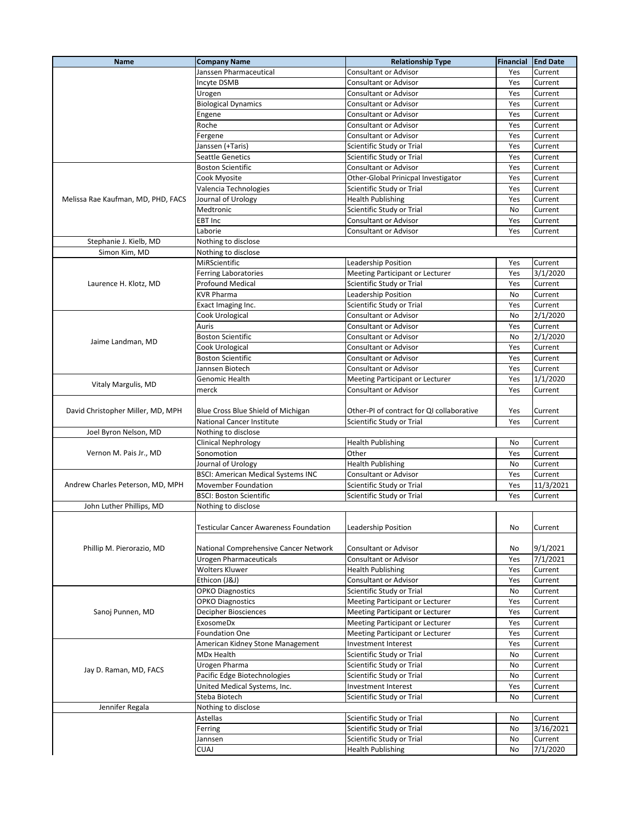| Name                               | <b>Company Name</b>                           | <b>Relationship Type</b>                  | Financial | <b>End Date</b> |
|------------------------------------|-----------------------------------------------|-------------------------------------------|-----------|-----------------|
|                                    | Janssen Pharmaceutical                        | Consultant or Advisor                     | Yes       | Current         |
|                                    | Incyte DSMB                                   | <b>Consultant or Advisor</b>              | Yes       | Current         |
|                                    | Urogen                                        | Consultant or Advisor                     | Yes       | Current         |
|                                    | <b>Biological Dynamics</b>                    | Consultant or Advisor                     | Yes       | Current         |
|                                    | Engene                                        | Consultant or Advisor                     | Yes       | Current         |
|                                    | Roche                                         | Consultant or Advisor                     | Yes       | Current         |
|                                    | Fergene                                       | Consultant or Advisor                     | Yes       | Current         |
|                                    | Janssen (+Taris)                              | Scientific Study or Trial                 | Yes       | Current         |
|                                    | <b>Seattle Genetics</b>                       | Scientific Study or Trial                 | Yes       | Current         |
|                                    | <b>Boston Scientific</b>                      | Consultant or Advisor                     | Yes       | Current         |
|                                    | Cook Myosite                                  | Other-Global Prinicpal Investigator       | Yes       | Current         |
|                                    | Valencia Technologies                         | Scientific Study or Trial                 | Yes       | Current         |
| Melissa Rae Kaufman, MD, PHD, FACS | Journal of Urology                            | <b>Health Publishing</b>                  | Yes       | Current         |
|                                    | Medtronic                                     | Scientific Study or Trial                 | No        | Current         |
|                                    | EBT Inc                                       | Consultant or Advisor                     | Yes       | Current         |
|                                    | Laborie                                       | Consultant or Advisor                     | Yes       | Current         |
| Stephanie J. Kielb, MD             |                                               |                                           |           |                 |
| Simon Kim, MD                      | Nothing to disclose                           |                                           |           |                 |
|                                    | Nothing to disclose<br>MiRScientific          |                                           |           |                 |
|                                    |                                               | Leadership Position                       | Yes       | Current         |
|                                    | <b>Ferring Laboratories</b>                   | Meeting Participant or Lecturer           | Yes       | 3/1/2020        |
| Laurence H. Klotz, MD              | <b>Profound Medical</b>                       | Scientific Study or Trial                 | Yes       | Current         |
|                                    | <b>KVR Pharma</b>                             | Leadership Position                       | No        | Current         |
|                                    | Exact Imaging Inc.                            | Scientific Study or Trial                 | Yes       | Current         |
|                                    | Cook Urological                               | <b>Consultant or Advisor</b>              | No        | 2/1/2020        |
|                                    | Auris                                         | <b>Consultant or Advisor</b>              | Yes       | Current         |
| Jaime Landman, MD                  | <b>Boston Scientific</b>                      | Consultant or Advisor                     | No        | 2/1/2020        |
|                                    | Cook Urological                               | <b>Consultant or Advisor</b>              | Yes       | Current         |
|                                    | <b>Boston Scientific</b>                      | <b>Consultant or Advisor</b>              | Yes       | Current         |
|                                    | Jannsen Biotech                               | Consultant or Advisor                     | Yes       | Current         |
|                                    | Genomic Health                                | Meeting Participant or Lecturer           | Yes       | 1/1/2020        |
| Vitaly Margulis, MD                | merck                                         | Consultant or Advisor                     | Yes       | Current         |
|                                    |                                               |                                           |           |                 |
| David Christopher Miller, MD, MPH  | Blue Cross Blue Shield of Michigan            | Other-PI of contract for QI collaborative | Yes       | Current         |
|                                    | National Cancer Institute                     | Scientific Study or Trial                 | Yes       | Current         |
| Joel Byron Nelson, MD              | Nothing to disclose                           |                                           |           |                 |
|                                    | Clinical Nephrology                           | <b>Health Publishing</b>                  | No        | Current         |
| Vernon M. Pais Jr., MD             | Sonomotion                                    | Other                                     | Yes       | Current         |
|                                    | Journal of Urology                            | <b>Health Publishing</b>                  | No        | Current         |
|                                    | <b>BSCI: American Medical Systems INC</b>     | <b>Consultant or Advisor</b>              | Yes       | Current         |
| Andrew Charles Peterson, MD, MPH   | Movember Foundation                           | Scientific Study or Trial                 | Yes       | 11/3/2021       |
|                                    | <b>BSCI: Boston Scientific</b>                | Scientific Study or Trial                 | Yes       | Current         |
| John Luther Phillips, MD           | Nothing to disclose                           |                                           |           |                 |
|                                    |                                               |                                           |           |                 |
|                                    | <b>Testicular Cancer Awareness Foundation</b> | Leadership Position                       | No        | Current         |
|                                    |                                               |                                           |           |                 |
| Phillip M. Pierorazio, MD          | National Comprehensive Cancer Network         | <b>Consultant or Advisor</b>              | No        | 9/1/2021        |
|                                    |                                               |                                           |           |                 |
|                                    | Urogen Pharmaceuticals                        | Consultant or Advisor                     | Yes       | 7/1/2021        |
|                                    | <b>Wolters Kluwer</b>                         | <b>Health Publishing</b>                  | Yes       | Current         |
|                                    | Ethicon (J&J)                                 | Consultant or Advisor                     | Yes       | Current         |
|                                    | <b>OPKO Diagnostics</b>                       | Scientific Study or Trial                 | No        | Current         |
|                                    | <b>OPKO Diagnostics</b>                       | Meeting Participant or Lecturer           | Yes       | Current         |
| Sanoj Punnen, MD                   | <b>Decipher Biosciences</b>                   | Meeting Participant or Lecturer           | Yes       | Current         |
|                                    | <b>ExosomeDx</b>                              | Meeting Participant or Lecturer           | Yes       | Current         |
|                                    | <b>Foundation One</b>                         | Meeting Participant or Lecturer           | Yes       | Current         |
|                                    | American Kidney Stone Management              | Investment Interest                       | Yes       | Current         |
|                                    | MDx Health                                    | Scientific Study or Trial                 | No        | Current         |
| Jay D. Raman, MD, FACS             | Urogen Pharma                                 | Scientific Study or Trial                 | No        | Current         |
|                                    | Pacific Edge Biotechnologies                  | Scientific Study or Trial                 | No        | Current         |
|                                    | United Medical Systems, Inc.                  | Investment Interest                       | Yes       | Current         |
|                                    | Steba Biotech                                 | Scientific Study or Trial                 | No        | Current         |
| Jennifer Regala                    | Nothing to disclose                           |                                           |           |                 |
|                                    | Astellas                                      | Scientific Study or Trial                 | No        | Current         |
|                                    | Ferring                                       | Scientific Study or Trial                 | No        | 3/16/2021       |
|                                    | Jannsen                                       | Scientific Study or Trial                 | No        | Current         |
|                                    | <b>CUAJ</b>                                   |                                           |           |                 |
|                                    |                                               | <b>Health Publishing</b>                  | No        | 7/1/2020        |